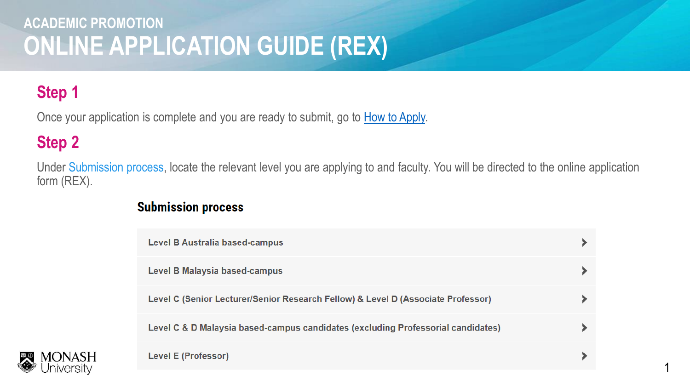# **Step 1**

Once your application is complete and you are ready to submit, go to [How to Apply.](https://www.monash.edu/academicpromotion/how-to-apply)

## **Step 2**

Under Submission process, locate the relevant level you are applying to and faculty. You will be directed to the online application form (REX).

#### **Submission process**

| Level B Australia based-campus                                                   |  |
|----------------------------------------------------------------------------------|--|
| Level B Malaysia based-campus                                                    |  |
| Level C (Senior Lecturer/Senior Research Fellow) & Level D (Associate Professor) |  |
| Level C & D Malaysia based-campus candidates (excluding Professorial candidates) |  |
| <b>Level E (Professor)</b>                                                       |  |

1

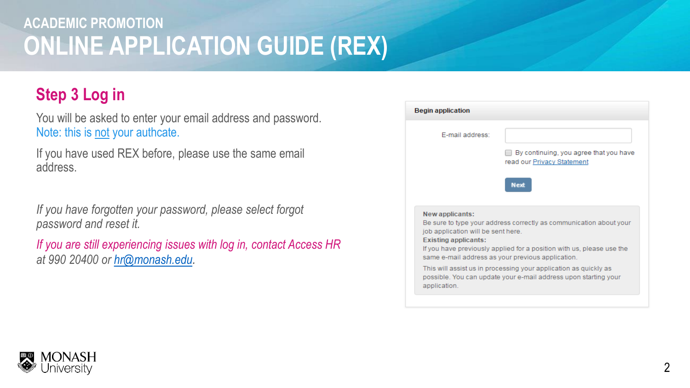## **Step 3 Log in**

You will be asked to enter your email address and password. Note: this is not your authcate.

If you have used REX before, please use the same email address.

*If you have forgotten your password, please select forgot password and reset it.* 

*If you are still experiencing issues with log in, contact Access HR at 990 20400 or [hr@monash.edu](mailto:hr-academic.promotion@monash.edu).*

| <b>Begin application</b>                                                             |                                                                                                                                                                                                  |
|--------------------------------------------------------------------------------------|--------------------------------------------------------------------------------------------------------------------------------------------------------------------------------------------------|
| F-mail address:                                                                      | By continuing, you agree that you have<br>read our Privacy Statement                                                                                                                             |
|                                                                                      | <b>Next</b>                                                                                                                                                                                      |
| New applicants:<br>job application will be sent here.<br><b>Existing applicants:</b> | Be sure to type your address correctly as communication about your<br>If you have previously applied for a position with us, please use the<br>same e-mail address as your previous application. |
|                                                                                      | This will assist us in processing your application as quickly as<br>possible. You can update your e-mail address upon starting your                                                              |

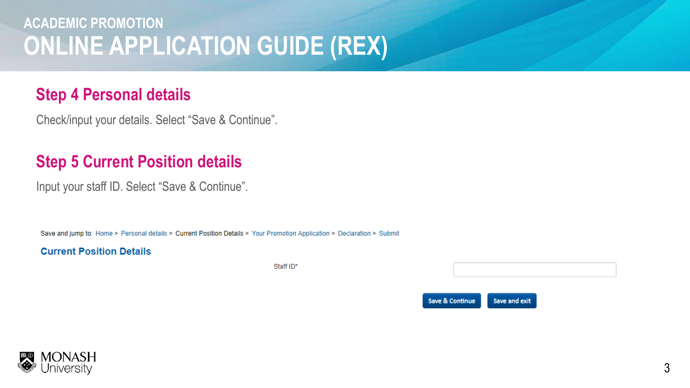### **Step 4 Personal details**

Check/input your details. Select "Save & Continue".

### **Step 5 Current Position details**

Input your staff ID. Select "Save & Continue".

Save and jump to: Home > Personal details > Current Position Details > Your Promotion Application > Declaration > Submit

#### **Current Position Details**

Staff ID\*



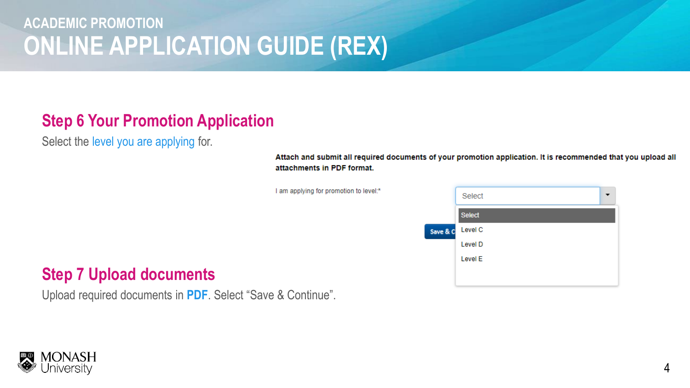## **Step 6 Your Promotion Application**

Select the level you are applying for.

Attach and submit all required documents of your promotion application. It is recommended that you upload all attachments in PDF format.

I am applying for promotion to level:\*



#### **Step 7 Upload documents**

Upload required documents in **PDF**. Select "Save & Continue".

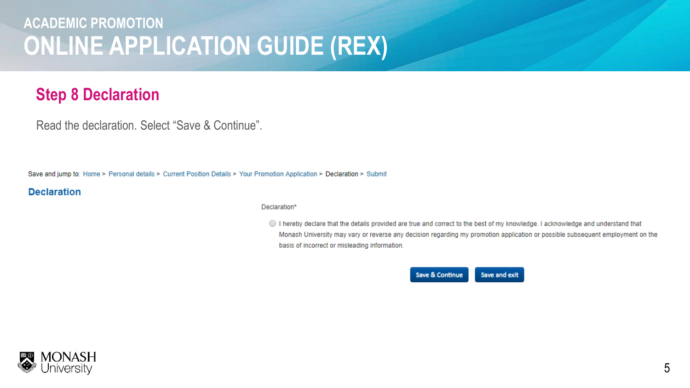## **Step 8 Declaration**

Read the declaration. Select "Save & Continue".

Save and jump to: Home > Personal details > Current Position Details > Your Promotion Application > Declaration > Submit

#### **Declaration**

#### Declaration\*

Intereby declare that the details provided are true and correct to the best of my knowledge. I acknowledge and understand that Monash University may vary or reverse any decision regarding my promotion application or possible subsequent employment on the basis of incorrect or misleading information.